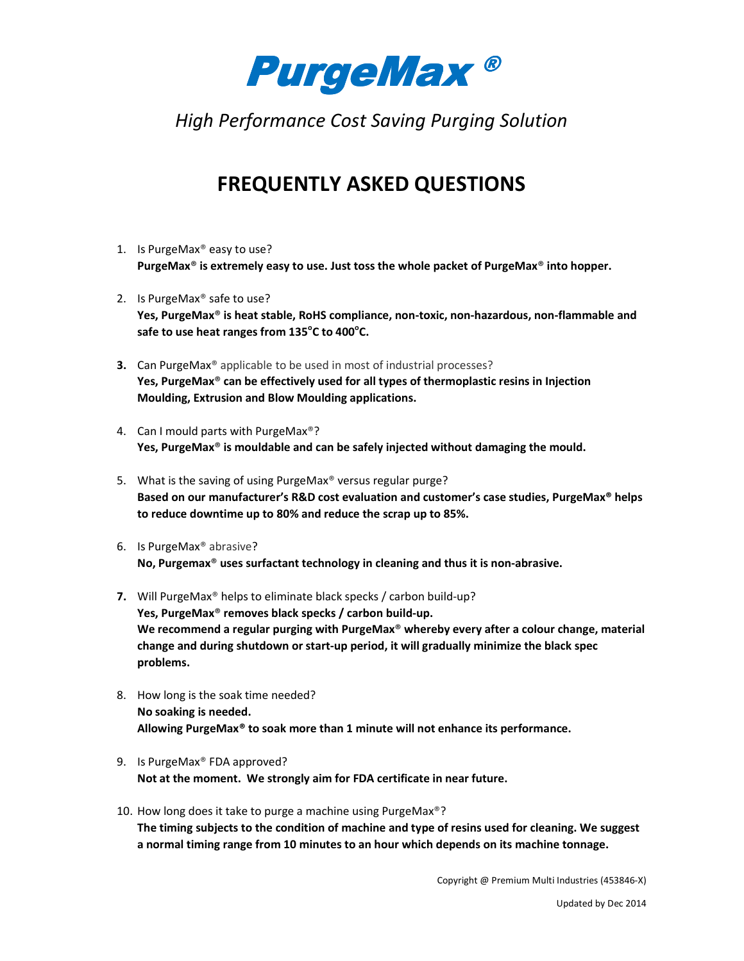

*High Performance Cost Saving Purging Solution*

## **FREQUENTLY ASKED QUESTIONS**

- 1. Is PurgeMax® easy to use? **PurgeMax® is extremely easy to use. Just toss the whole packet of PurgeMax® into hopper.**
- 2. Is PurgeMax® safe to use? **Yes, PurgeMax® is heat stable, RoHS compliance, non-toxic, non-hazardous, non-flammable and**  safe to use heat ranges from 135°C to 400°C.
- **3.** Can PurgeMax<sup>®</sup> applicable to be used in most of industrial processes? **Yes, PurgeMax® can be effectively used for all types of thermoplastic resins in Injection Moulding, Extrusion and Blow Moulding applications.**
- 4. Can I mould parts with PurgeMax®? **Yes, PurgeMax® is mouldable and can be safely injected without damaging the mould.**
- 5. What is the saving of using PurgeMax® versus regular purge? **Based on our manufacturer's R&D cost evaluation and customer's case studies, PurgeMax® helps to reduce downtime up to 80% and reduce the scrap up to 85%.**
- 6. Is PurgeMax® abrasive? **No, Purgemax® uses surfactant technology in cleaning and thus it is non-abrasive.**
- **7.** Will PurgeMax® helps to eliminate black specks / carbon build-up? **Yes, PurgeMax® removes black specks / carbon build-up. We recommend a regular purging with PurgeMax® whereby every after a colour change, material change and during shutdown or start-up period, it will gradually minimize the black spec problems.**
- 8. How long is the soak time needed? **No soaking is needed. Allowing PurgeMax® to soak more than 1 minute will not enhance its performance.**
- 9. Is PurgeMax® FDA approved? **Not at the moment. We strongly aim for FDA certificate in near future.**
- 10. How long does it take to purge a machine using PurgeMax®? **The timing subjects to the condition of machine and type of resins used for cleaning. We suggest a normal timing range from 10 minutes to an hour which depends on its machine tonnage.**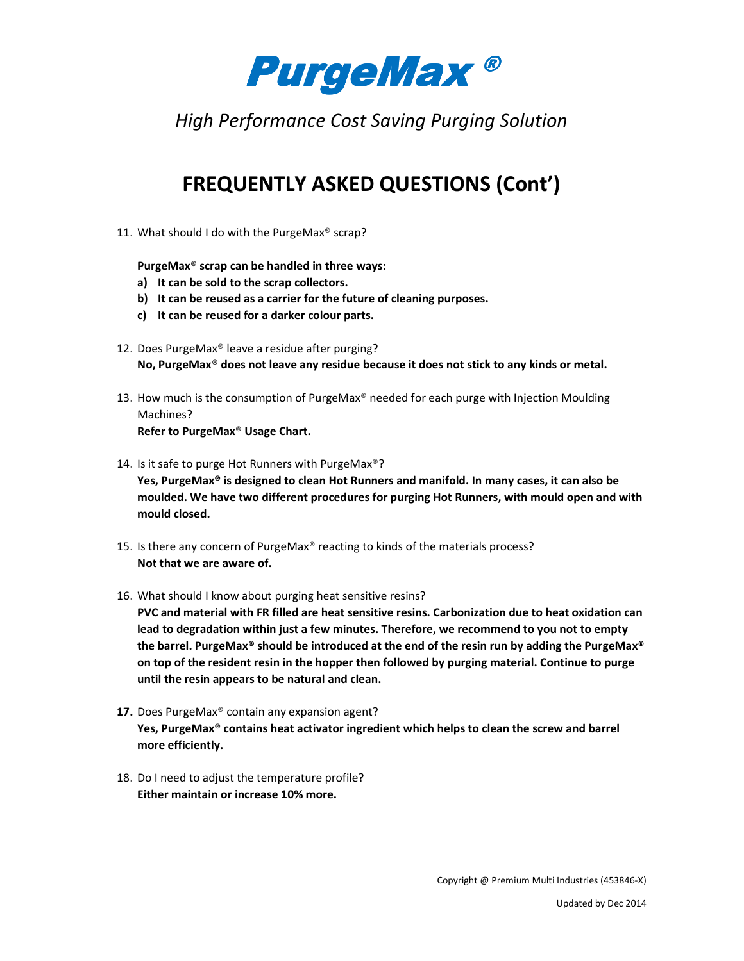

*High Performance Cost Saving Purging Solution*

## **FREQUENTLY ASKED QUESTIONS (Cont')**

11. What should I do with the PurgeMax® scrap?

**PurgeMax® scrap can be handled in three ways:** 

- **a) It can be sold to the scrap collectors.**
- **b) It can be reused as a carrier for the future of cleaning purposes.**
- **c) It can be reused for a darker colour parts.**
- 12. Does PurgeMax® leave a residue after purging? **No, PurgeMax® does not leave any residue because it does not stick to any kinds or metal.**
- 13. How much is the consumption of PurgeMax® needed for each purge with Injection Moulding Machines? **Refer to PurgeMax® Usage Chart.**
- 14. Is it safe to purge Hot Runners with PurgeMax®? **Yes, PurgeMax® is designed to clean Hot Runners and manifold. In many cases, it can also be moulded. We have two different procedures for purging Hot Runners, with mould open and with mould closed.**
- 15. Is there any concern of PurgeMax® reacting to kinds of the materials process? **Not that we are aware of.**
- 16. What should I know about purging heat sensitive resins?

**PVC and material with FR filled are heat sensitive resins. Carbonization due to heat oxidation can lead to degradation within just a few minutes. Therefore, we recommend to you not to empty the barrel. PurgeMax® should be introduced at the end of the resin run by adding the PurgeMax® on top of the resident resin in the hopper then followed by purging material. Continue to purge until the resin appears to be natural and clean.** 

- 17. Does PurgeMax<sup>®</sup> contain any expansion agent? **Yes, PurgeMax® contains heat activator ingredient which helps to clean the screw and barrel more efficiently.**
- 18. Do I need to adjust the temperature profile? **Either maintain or increase 10% more.**